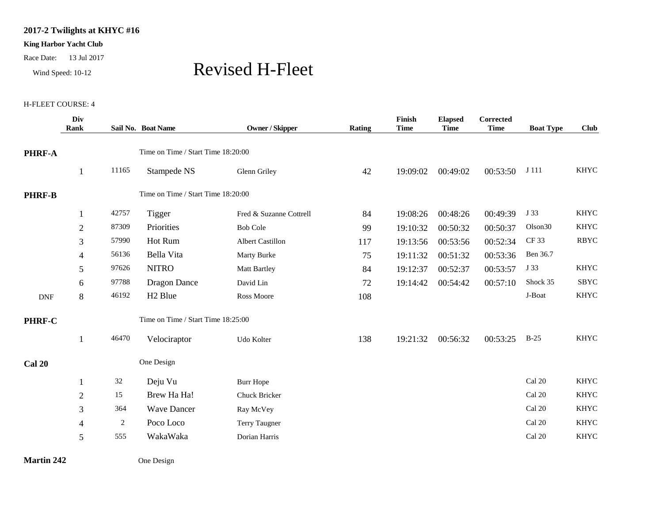## **2017-2 Twilights at KHYC #16**

## **King Harbor Yacht Club**

Race Date: 13 Jul 2017

## Wind Speed: 10-12 Revised H-Fleet

## H-FLEET COURSE: 4

|                | Div<br>Rank    |                                    | Sail No. Boat Name                 | Owner / Skipper         | Rating | Finish<br><b>Time</b> | <b>Elapsed</b><br><b>Time</b> | Corrected<br><b>Time</b> | <b>Boat Type</b>    | <b>Club</b> |
|----------------|----------------|------------------------------------|------------------------------------|-------------------------|--------|-----------------------|-------------------------------|--------------------------|---------------------|-------------|
| <b>PHRF-A</b>  |                |                                    | Time on Time / Start Time 18:20:00 |                         |        |                       |                               |                          |                     |             |
|                | $\mathbf{1}$   | 11165                              | Stampede NS                        | Glenn Griley            | 42     | 19:09:02              | 00:49:02                      | 00:53:50                 | J 111               | <b>KHYC</b> |
| <b>PHRF-B</b>  |                |                                    | Time on Time / Start Time 18:20:00 |                         |        |                       |                               |                          |                     |             |
|                | $\mathbf{1}$   | 42757                              | Tigger                             | Fred & Suzanne Cottrell | 84     | 19:08:26              | 00:48:26                      | 00:49:39                 | J 33                | <b>KHYC</b> |
|                | $\overline{2}$ | 87309                              | Priorities                         | <b>Bob Cole</b>         | 99     | 19:10:32              | 00:50:32                      | 00:50:37                 | Olson <sub>30</sub> | <b>KHYC</b> |
|                | 3              | 57990                              | Hot Rum                            | Albert Castillon        | 117    | 19:13:56              | 00:53:56                      | 00:52:34                 | <b>CF33</b>         | <b>RBYC</b> |
|                | 4              | 56136                              | Bella Vita                         | Marty Burke             | 75     | 19:11:32              | 00:51:32                      | 00:53:36                 | Ben 36.7            |             |
|                | 5              | 97626                              | <b>NITRO</b>                       | <b>Matt Bartley</b>     | 84     | 19:12:37              | 00:52:37                      | 00:53:57                 | J 33                | <b>KHYC</b> |
|                | 6              | 97788                              | <b>Dragon Dance</b>                | David Lin               | 72     | 19:14:42              | 00:54:42                      | 00:57:10                 | Shock 35            | <b>SBYC</b> |
| $\mathbf{DNF}$ | 8              | 46192                              | H <sub>2</sub> Blue                | Ross Moore              | 108    |                       |                               |                          | J-Boat              | <b>KHYC</b> |
| <b>PHRF-C</b>  |                | Time on Time / Start Time 18:25:00 |                                    |                         |        |                       |                               |                          |                     |             |
|                | $\mathbf{1}$   | 46470                              | Velociraptor                       | Udo Kolter              | 138    | 19:21:32              | 00:56:32                      | 00:53:25                 | $B-25$              | <b>KHYC</b> |
| <b>Cal 20</b>  |                |                                    | One Design                         |                         |        |                       |                               |                          |                     |             |
|                | 1              | $32\,$                             | Deju Vu                            | <b>Burr Hope</b>        |        |                       |                               |                          | Cal 20              | <b>KHYC</b> |
|                | $\overline{2}$ | 15                                 | Brew Ha Ha!                        | Chuck Bricker           |        |                       |                               |                          | Cal 20              | <b>KHYC</b> |
|                | 3              | 364                                | <b>Wave Dancer</b>                 | Ray McVey               |        |                       |                               |                          | Cal 20              | <b>KHYC</b> |
|                | $\overline{4}$ | 2                                  | Poco Loco                          | Terry Taugner           |        |                       |                               |                          | Cal 20              | <b>KHYC</b> |
|                | 5              | 555                                | WakaWaka                           | Dorian Harris           |        |                       |                               |                          | Cal 20              | <b>KHYC</b> |

**Martin 242** One Design